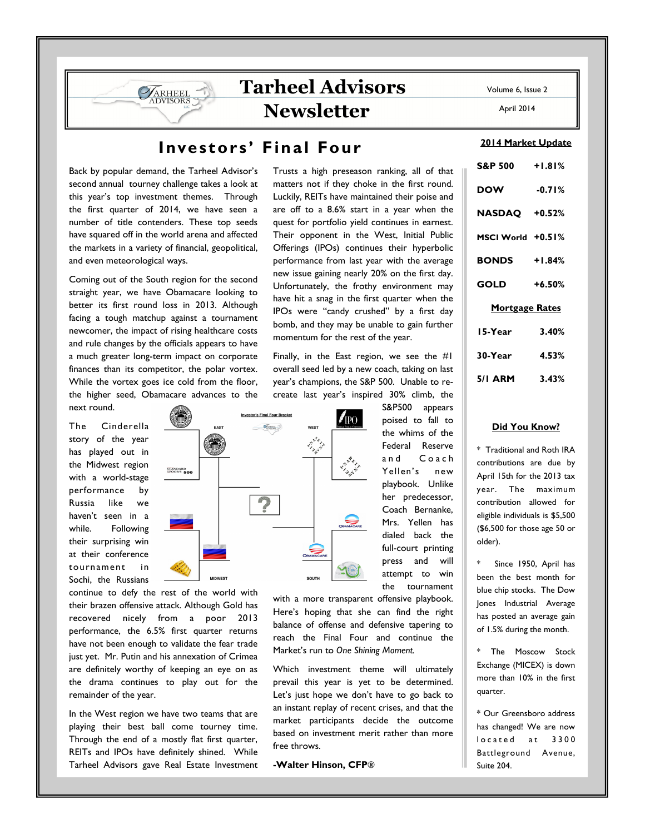## Volume 6, Issue 2

April 2014

## Investors' Final Four

**Investor's Final Four Bracket** 

 $\mathcal{O}_{\text{obs}}$ 

Back by popular demand, the Tarheel Advisor's second annual tourney challenge takes a look at this year's top investment themes. Through the first quarter of 2014, we have seen a number of title contenders. These top seeds have squared off in the world arena and affected the markets in a variety of financial, geopolitical, and even meteorological ways.

**VARHEEL DVISORS** 

Coming out of the South region for the second straight year, we have Obamacare looking to better its first round loss in 2013. Although facing a tough matchup against a tournament newcomer, the impact of rising healthcare costs and rule changes by the officials appears to have a much greater long-term impact on corporate finances than its competitor, the polar vortex. While the vortex goes ice cold from the floor, the higher seed, Obamacare advances to the next round.

The Cinderella story of the year has played out in the Midwest region with a world-stage performance by Russia like we haven't seen in a while. Following their surprising win at their conference tournament in Sochi, the Russians

continue to defy the rest of the world with their brazen offensive attack. Although Gold has recovered nicely from a poor 2013 performance, the 6.5% first quarter returns have not been enough to validate the fear trade just yet. Mr. Putin and his annexation of Crimea are definitely worthy of keeping an eye on as the drama continues to play out for the remainder of the year.

In the West region we have two teams that are playing their best ball come tourney time. Through the end of a mostly flat first quarter, REITs and IPOs have definitely shined. While Tarheel Advisors gave Real Estate Investment Trusts a high preseason ranking, all of that matters not if they choke in the first round. Luckily, REITs have maintained their poise and are off to a 8.6% start in a year when the quest for portfolio yield continues in earnest. Their opponent in the West, Initial Public Offerings (IPOs) continues their hyperbolic performance from last year with the average new issue gaining nearly 20% on the first day. Unfortunately, the frothy environment may have hit a snag in the first quarter when the IPOs were "candy crushed" by a first day bomb, and they may be unable to gain further momentum for the rest of the year.

Finally, in the East region, we see the #1 overall seed led by a new coach, taking on last year's champions, the S&P 500. Unable to recreate last year's inspired 30% climb, the

 $\mathcal{I}_{\text{IPO}}$ 

**CLAN** 

S&P500 appears poised to fall to the whims of the Federal Reserve and Coach Yellen's new playbook. Unlike her predecessor, Coach Bernanke, Mrs. Yellen has dialed back the full-court printing press and will attempt to win the tournament

with a more transparent offensive playbook. Here's hoping that she can find the right balance of offense and defensive tapering to reach the Final Four and continue the Market's run to One Shining Moment.

Which investment theme will ultimately prevail this year is yet to be determined. Let's just hope we don't have to go back to an instant replay of recent crises, and that the market participants decide the outcome based on investment merit rather than more free throws.

-Walter Hinson, CFP®

2014 Market Update

| S&P 500 +1.81%        |          |
|-----------------------|----------|
| <b>DOW</b>            | $-0.71%$ |
| NASDAQ +0.52%         |          |
| MSCI World +0.51%     |          |
| <b>BONDS</b> +1.84%   |          |
| GOLD                  | $+6.50%$ |
| <b>Mortgage Rates</b> |          |
| 15-Year               | 3.40%    |
| 30-Year               | 4.53%    |
| 5/I ARM               | 3.43%    |

## Did You Know?

\* Traditional and Roth IRA contributions are due by April 15th for the 2013 tax year. The maximum contribution allowed for eligible individuals is \$5,500 (\$6,500 for those age 50 or older).

Since 1950, April has been the best month for blue chip stocks. The Dow Jones Industrial Average has posted an average gain of 1.5% during the month.

\* The Moscow Stock Exchange (MICEX) is down more than 10% in the first quarter.

\* Our Greensboro address has changed! We are now located at 3300 Battleground Avenue, Suite 204.

**STANDARD**<br>SPOOR'S 500